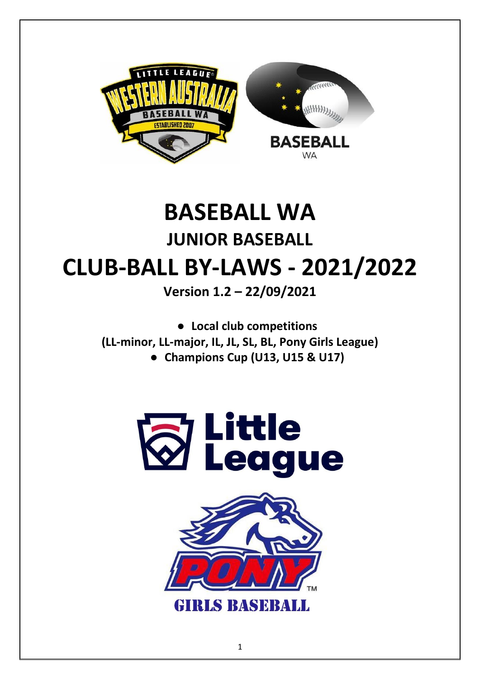

# **BASEBALL WA JUNIOR BASEBALL CLUB-BALL BY-LAWS - 2021/2022**

**Version 1.2 – 22/09/2021**

● **Local club competitions (LL-minor, LL-major, IL, JL, SL, BL, Pony Girls League)** ● **Champions Cup (U13, U15 & U17)**



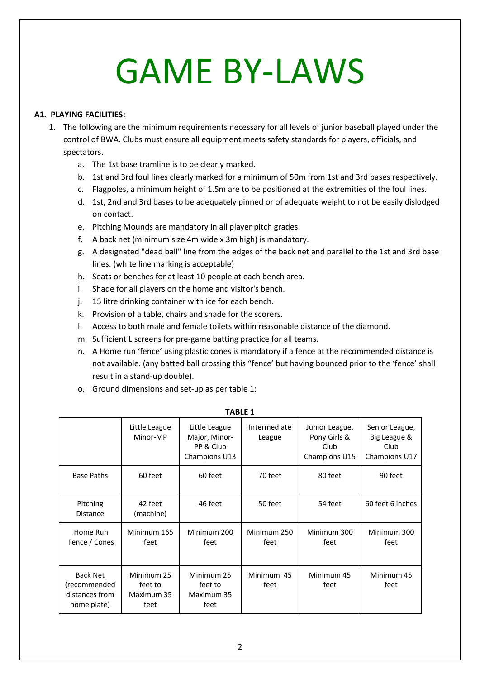# GAME BY-LAWS

## **A1. PLAYING FACILITIES:**

- 1. The following are the minimum requirements necessary for all levels of junior baseball played under the control of BWA. Clubs must ensure all equipment meets safety standards for players, officials, and spectators.
	- a. The 1st base tramline is to be clearly marked.
	- b. 1st and 3rd foul lines clearly marked for a minimum of 50m from 1st and 3rd bases respectively.
	- c. Flagpoles, a minimum height of 1.5m are to be positioned at the extremities of the foul lines.
	- d. 1st, 2nd and 3rd bases to be adequately pinned or of adequate weight to not be easily dislodged on contact.
	- e. Pitching Mounds are mandatory in all player pitch grades.
	- f. A back net (minimum size 4m wide x 3m high) is mandatory.
	- g. A designated "dead ball" line from the edges of the back net and parallel to the 1st and 3rd base lines. (white line marking is acceptable)
	- h. Seats or benches for at least 10 people at each bench area.
	- i. Shade for all players on the home and visitor's bench.
	- j. 15 litre drinking container with ice for each bench.
	- k. Provision of a table, chairs and shade for the scorers.
	- l. Access to both male and female toilets within reasonable distance of the diamond.
	- m. Sufficient **L** screens for pre-game batting practice for all teams.
	- n. A Home run 'fence' using plastic cones is mandatory if a fence at the recommended distance is not available. (any batted ball crossing this "fence' but having bounced prior to the 'fence' shall result in a stand-up double).
	- o. Ground dimensions and set-up as per table 1:

|                                                                  | Little League<br>Minor-MP                   | Little League<br>Major, Minor-<br>PP & Club<br>Champions U13 | Intermediate<br>League | Junior League,<br>Pony Girls &<br>Club<br>Champions U15 | Senior League,<br>Big League &<br>Club<br>Champions U17 |
|------------------------------------------------------------------|---------------------------------------------|--------------------------------------------------------------|------------------------|---------------------------------------------------------|---------------------------------------------------------|
| <b>Base Paths</b>                                                | 60 feet                                     | 60 feet                                                      | 70 feet                | 80 feet                                                 | 90 feet                                                 |
| Pitching<br><b>Distance</b>                                      | 42 feet<br>(machine)                        | 46 feet                                                      | 50 feet                | 54 feet                                                 | 60 feet 6 inches                                        |
| Home Run<br>Fence / Cones                                        | Minimum 165<br>feet                         | Minimum 200<br>feet                                          | Minimum 250<br>feet    | Minimum 300<br>feet                                     | Minimum 300<br>feet                                     |
| <b>Back Net</b><br>(recommended<br>distances from<br>home plate) | Minimum 25<br>feet to<br>Maximum 35<br>feet | Minimum 25<br>feet to<br>Maximum 35<br>feet                  | Minimum 45<br>feet     | Minimum 45<br>feet                                      | Minimum 45<br>feet                                      |

**TABLE 1**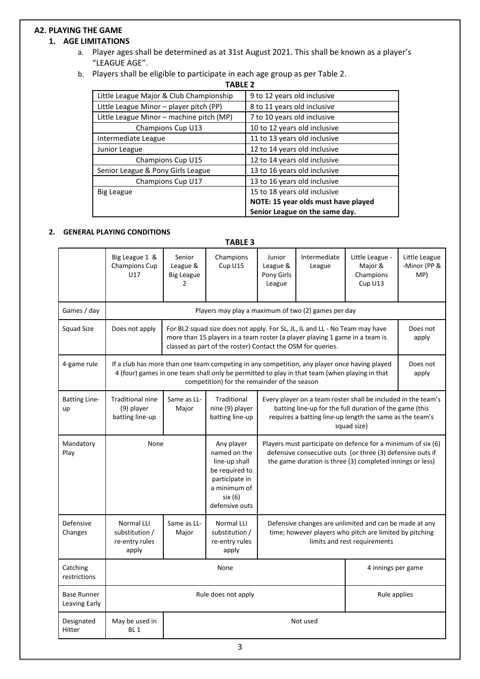# **A2. PLAYING THE GAME**

# **1. AGE LIMITATIONS**

- a. Player ages shall be determined as at 31st August 2021. This shall be known as a player's "LEAGUE AGE".
- b. Players shall be eligible to participate in each age group as per Table 2.

**TABLE 2**

| Little League Major & Club Championship  | 9 to 12 years old inclusive         |  |
|------------------------------------------|-------------------------------------|--|
| Little League Minor - player pitch (PP)  | 8 to 11 years old inclusive         |  |
| Little League Minor – machine pitch (MP) | 7 to 10 years old inclusive         |  |
| Champions Cup U13                        | 10 to 12 years old inclusive        |  |
| Intermediate League                      | 11 to 13 years old inclusive        |  |
| Junior League                            | 12 to 14 years old inclusive        |  |
| Champions Cup U15                        | 12 to 14 years old inclusive        |  |
| Senior League & Pony Girls League        | 13 to 16 years old inclusive        |  |
| Champions Cup U17                        | 13 to 16 years old inclusive        |  |
| <b>Big League</b>                        | 15 to 18 years old inclusive        |  |
|                                          | NOTE: 15 year olds must have played |  |
|                                          | Senior League on the same day.      |  |

#### **2. GENERAL PLAYING CONDITIONS**

| <b>TABLE 3</b>                      |                                                                                                                                                                                                                                                        |                                                     |                                                                                                                              |                                                                                                                                                                                         |                        |                                                                                                                                                                                                     |                                      |
|-------------------------------------|--------------------------------------------------------------------------------------------------------------------------------------------------------------------------------------------------------------------------------------------------------|-----------------------------------------------------|------------------------------------------------------------------------------------------------------------------------------|-----------------------------------------------------------------------------------------------------------------------------------------------------------------------------------------|------------------------|-----------------------------------------------------------------------------------------------------------------------------------------------------------------------------------------------------|--------------------------------------|
|                                     | Big League 1 &<br>Champions Cup<br>U17                                                                                                                                                                                                                 | Senior<br>League &<br><b>Big League</b><br>2        | Champions<br>Cup U15                                                                                                         | Junior<br>League &<br>Pony Girls<br>League                                                                                                                                              | Intermediate<br>League | Little League -<br>Major &<br>Champions<br>Cup U13                                                                                                                                                  | Little League<br>-Minor (PP &<br>MP) |
| Games / day                         |                                                                                                                                                                                                                                                        | Players may play a maximum of two (2) games per day |                                                                                                                              |                                                                                                                                                                                         |                        |                                                                                                                                                                                                     |                                      |
| <b>Squad Size</b>                   | For BL2 squad size does not apply. For SL, JL, IL and LL - No Team may have<br>Does not apply<br>more than 15 players in a team roster (a player playing 1 game in a team is<br>classed as part of the roster) Contact the OSM for queries.            |                                                     |                                                                                                                              |                                                                                                                                                                                         |                        |                                                                                                                                                                                                     | Does not<br>apply                    |
| 4-game rule                         | If a club has more than one team competing in any competition, any player once having played<br>4 (four) games in one team shall only be permitted to play in that team (when playing in that<br>apply<br>competition) for the remainder of the season |                                                     |                                                                                                                              |                                                                                                                                                                                         | Does not               |                                                                                                                                                                                                     |                                      |
| <b>Batting Line-</b><br>up          | <b>Traditional nine</b><br>(9) player<br>batting line-up                                                                                                                                                                                               | Same as LL-<br>Major                                | Traditional<br>nine (9) player<br>batting line-up                                                                            |                                                                                                                                                                                         |                        | Every player on a team roster shall be included in the team's<br>batting line-up for the full duration of the game (this<br>requires a batting line-up length the same as the team's<br>squad size) |                                      |
| Mandatory<br>Play                   | None                                                                                                                                                                                                                                                   |                                                     | Any player<br>named on the<br>line-up shall<br>be required to<br>participate in<br>a minimum of<br>six (6)<br>defensive outs | Players must participate on defence for a minimum of six (6)<br>defensive consecutive outs (or three (3) defensive outs if<br>the game duration is three (3) completed innings or less) |                        |                                                                                                                                                                                                     |                                      |
| Defensive<br>Changes                | <b>Normal LLI</b><br>substitution /<br>re-entry rules<br>apply                                                                                                                                                                                         | Same as LL-<br>Major                                | <b>Normal LLI</b><br>substitution /<br>re-entry rules<br>apply                                                               |                                                                                                                                                                                         |                        | Defensive changes are unlimited and can be made at any<br>time; however players who pitch are limited by pitching<br>limits and rest requirements                                                   |                                      |
| Catching<br>restrictions            | None                                                                                                                                                                                                                                                   |                                                     |                                                                                                                              |                                                                                                                                                                                         |                        | 4 innings per game                                                                                                                                                                                  |                                      |
| <b>Base Runner</b><br>Leaving Early | Rule does not apply                                                                                                                                                                                                                                    |                                                     |                                                                                                                              |                                                                                                                                                                                         |                        | Rule applies                                                                                                                                                                                        |                                      |
| Designated<br>Hitter                | May be used in<br>BL <sub>1</sub>                                                                                                                                                                                                                      | Not used                                            |                                                                                                                              |                                                                                                                                                                                         |                        |                                                                                                                                                                                                     |                                      |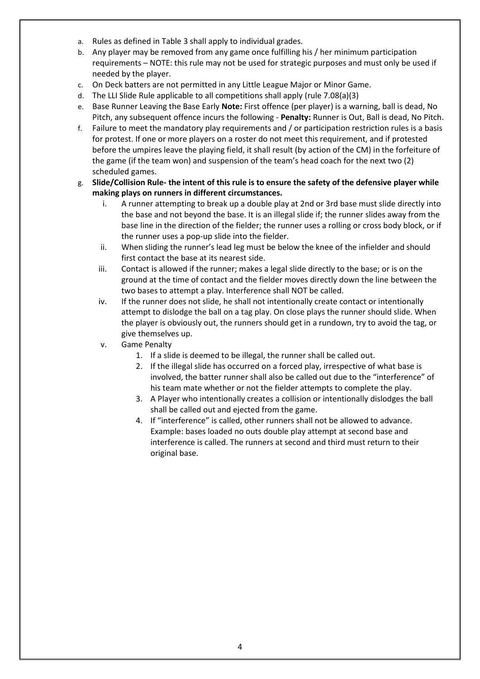- a. Rules as defined in Table 3 shall apply to individual grades.
- b. Any player may be removed from any game once fulfilling his / her minimum participation requirements – NOTE: this rule may not be used for strategic purposes and must only be used if needed by the player.
- c. On Deck batters are not permitted in any Little League Major or Minor Game.
- d. The LLI Slide Rule applicable to all competitions shall apply (rule 7.08(a)(3)
- e. Base Runner Leaving the Base Early **Note:** First offence (per player) is a warning, ball is dead, No Pitch, any subsequent offence incurs the following - **Penalty:** Runner is Out, Ball is dead, No Pitch.
- f. Failure to meet the mandatory play requirements and / or participation restriction rules is a basis for protest. If one or more players on a roster do not meet this requirement, and if protested before the umpires leave the playing field, it shall result (by action of the CM) in the forfeiture of the game (if the team won) and suspension of the team's head coach for the next two (2) scheduled games.
- g. **Slide/Collision Rule- the intent of this rule is to ensure the safety of the defensive player while making plays on runners in different circumstances.**
	- i. A runner attempting to break up a double play at 2nd or 3rd base must slide directly into the base and not beyond the base. It is an illegal slide if; the runner slides away from the base line in the direction of the fielder; the runner uses a rolling or cross body block, or if the runner uses a pop-up slide into the fielder.
	- ii. When sliding the runner's lead leg must be below the knee of the infielder and should first contact the base at its nearest side.
	- iii. Contact is allowed if the runner; makes a legal slide directly to the base; or is on the ground at the time of contact and the fielder moves directly down the line between the two bases to attempt a play. Interference shall NOT be called.
	- iv. If the runner does not slide, he shall not intentionally create contact or intentionally attempt to dislodge the ball on a tag play. On close plays the runner should slide. When the player is obviously out, the runners should get in a rundown, try to avoid the tag, or give themselves up.
	- v. Game Penalty
		- 1. If a slide is deemed to be illegal, the runner shall be called out.
		- 2. If the illegal slide has occurred on a forced play, irrespective of what base is involved, the batter runner shall also be called out due to the "interference" of his team mate whether or not the fielder attempts to complete the play.
		- 3. A Player who intentionally creates a collision or intentionally dislodges the ball shall be called out and ejected from the game.
		- 4. If "interference" is called, other runners shall not be allowed to advance. Example: bases loaded no outs double play attempt at second base and interference is called. The runners at second and third must return to their original base.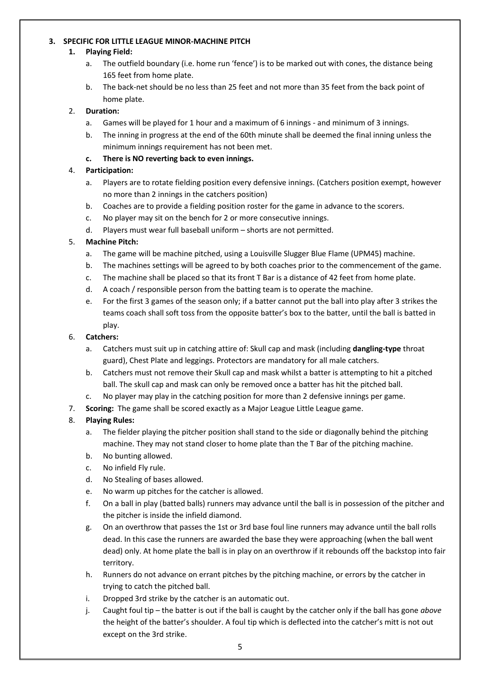#### **3. SPECIFIC FOR LITTLE LEAGUE MINOR-MACHINE PITCH**

#### **1. Playing Field:**

- a. The outfield boundary (i.e. home run 'fence') is to be marked out with cones, the distance being 165 feet from home plate.
- b. The back-net should be no less than 25 feet and not more than 35 feet from the back point of home plate.

#### 2. **Duration:**

- a. Games will be played for 1 hour and a maximum of 6 innings and minimum of 3 innings.
- b. The inning in progress at the end of the 60th minute shall be deemed the final inning unless the minimum innings requirement has not been met.

#### **c. There is NO reverting back to even innings.**

#### 4. **Participation:**

- a. Players are to rotate fielding position every defensive innings. (Catchers position exempt, however no more than 2 innings in the catchers position)
- b. Coaches are to provide a fielding position roster for the game in advance to the scorers.
- c. No player may sit on the bench for 2 or more consecutive innings.
- d. Players must wear full baseball uniform shorts are not permitted.

#### 5. **Machine Pitch:**

- a. The game will be machine pitched, using a Louisville Slugger Blue Flame (UPM45) machine.
- b. The machines settings will be agreed to by both coaches prior to the commencement of the game.
- c. The machine shall be placed so that its front T Bar is a distance of 42 feet from home plate.
- d. A coach / responsible person from the batting team is to operate the machine.
- e. For the first 3 games of the season only; if a batter cannot put the ball into play after 3 strikes the teams coach shall soft toss from the opposite batter's box to the batter, until the ball is batted in play.

#### 6. **Catchers:**

- a. Catchers must suit up in catching attire of: Skull cap and mask (including **dangling-type** throat guard), Chest Plate and leggings. Protectors are mandatory for all male catchers.
- b. Catchers must not remove their Skull cap and mask whilst a batter is attempting to hit a pitched ball. The skull cap and mask can only be removed once a batter has hit the pitched ball.
- c. No player may play in the catching position for more than 2 defensive innings per game.
- 7. **Scoring:** The game shall be scored exactly as a Major League Little League game.

#### 8. **Playing Rules:**

- a. The fielder playing the pitcher position shall stand to the side or diagonally behind the pitching machine. They may not stand closer to home plate than the T Bar of the pitching machine.
- b. No bunting allowed.
- c. No infield Fly rule.
- d. No Stealing of bases allowed.
- e. No warm up pitches for the catcher is allowed.
- f. On a ball in play (batted balls) runners may advance until the ball is in possession of the pitcher and the pitcher is inside the infield diamond.
- g. On an overthrow that passes the 1st or 3rd base foul line runners may advance until the ball rolls dead. In this case the runners are awarded the base they were approaching (when the ball went dead) only. At home plate the ball is in play on an overthrow if it rebounds off the backstop into fair territory.
- h. Runners do not advance on errant pitches by the pitching machine, or errors by the catcher in trying to catch the pitched ball.
- i. Dropped 3rd strike by the catcher is an automatic out.
- j. Caught foul tip the batter is out if the ball is caught by the catcher only if the ball has gone *above*  the height of the batter's shoulder. A foul tip which is deflected into the catcher's mitt is not out except on the 3rd strike.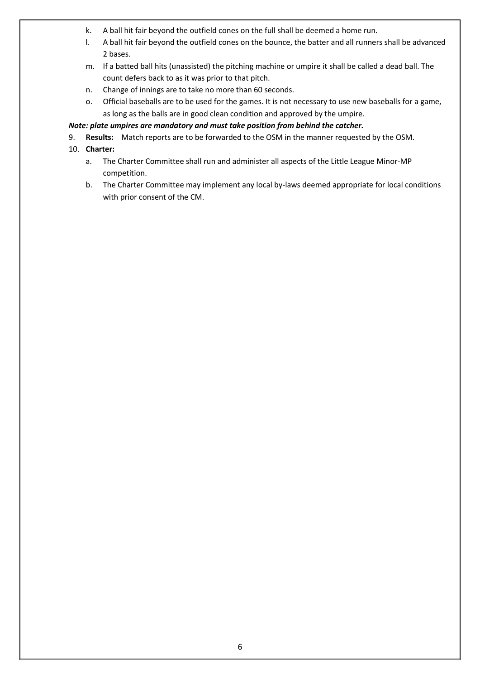- k. A ball hit fair beyond the outfield cones on the full shall be deemed a home run.
- l. A ball hit fair beyond the outfield cones on the bounce, the batter and all runners shall be advanced 2 bases.
- m. If a batted ball hits (unassisted) the pitching machine or umpire it shall be called a dead ball. The count defers back to as it was prior to that pitch.
- n. Change of innings are to take no more than 60 seconds.
- o. Official baseballs are to be used for the games. It is not necessary to use new baseballs for a game, as long as the balls are in good clean condition and approved by the umpire.

#### *Note: plate umpires are mandatory and must take position from behind the catcher.*

- 9. **Results:** Match reports are to be forwarded to the OSM in the manner requested by the OSM.
- 10. **Charter:**
	- a. The Charter Committee shall run and administer all aspects of the Little League Minor-MP competition.
	- b. The Charter Committee may implement any local by-laws deemed appropriate for local conditions with prior consent of the CM.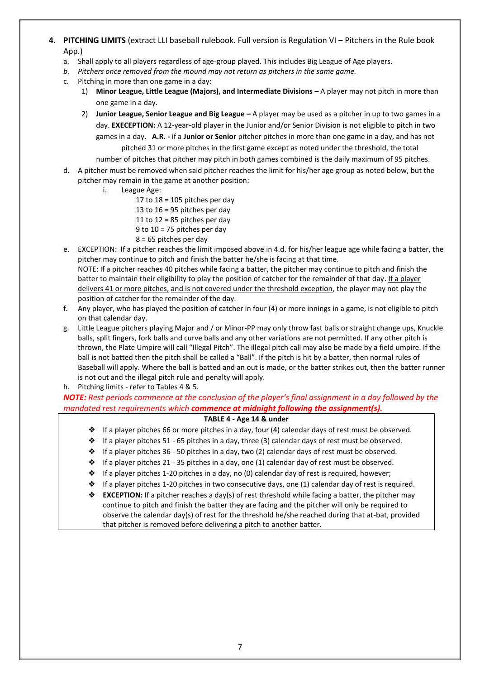- **4. PITCHING LIMITS** (extract LLI baseball rulebook. Full version is Regulation VI Pitchers in the Rule book App.)
	- a. Shall apply to all players regardless of age-group played. This includes Big League of Age players.
	- *b. Pitchers once removed from the mound may not return as pitchers in the same game.*
	- c. Pitching in more than one game in a day:
		- 1) **Minor League, Little League (Majors), and Intermediate Divisions –** A player may not pitch in more than one game in a day.
		- 2) **Junior League, Senior League and Big League –** A player may be used as a pitcher in up to two games in a day. **EXECEPTION:** A 12-year-old player in the Junior and/or Senior Division is not eligible to pitch in two games in a day. **A.R. -** if a **Junior or Senior** pitcher pitches in more than one game in a day, and has not pitched 31 or more pitches in the first game except as noted under the threshold, the total

number of pitches that pitcher may pitch in both games combined is the daily maximum of 95 pitches.

- d. A pitcher must be removed when said pitcher reaches the limit for his/her age group as noted below, but the pitcher may remain in the game at another position:
	- i. League Age:
		- 17 to  $18 = 105$  pitches per day
		- 13 to  $16 = 95$  pitches per day
		- 11 to  $12 = 85$  pitches per day
		- 9 to 10 = 75 pitches per day
		- 8 = 65 pitches per day
- e. EXCEPTION: If a pitcher reaches the limit imposed above in 4.d. for his/her league age while facing a batter, the pitcher may continue to pitch and finish the batter he/she is facing at that time. NOTE: If a pitcher reaches 40 pitches while facing a batter, the pitcher may continue to pitch and finish the batter to maintain their eligibility to play the position of catcher for the remainder of that day. If a player delivers 41 or more pitches, and is not covered under the threshold exception, the player may not play the position of catcher for the remainder of the day.
- f. Any player, who has played the position of catcher in four (4) or more innings in a game, is not eligible to pitch on that calendar day.
- g. Little League pitchers playing Major and / or Minor-PP may only throw fast balls or straight change ups, Knuckle balls, split fingers, fork balls and curve balls and any other variations are not permitted. If any other pitch is thrown, the Plate Umpire will call "Illegal Pitch". The illegal pitch call may also be made by a field umpire. If the ball is not batted then the pitch shall be called a "Ball". If the pitch is hit by a batter, then normal rules of Baseball will apply. Where the ball is batted and an out is made, or the batter strikes out, then the batter runner is not out and the illegal pitch rule and penalty will apply.
- h. Pitching limits refer to Tables 4 & 5.

# *NOTE: Rest periods commence at the conclusion of the player's final assignment in a day followed by the mandated rest requirements which commence at midnight following the assignment(s).*

#### **TABLE 4 - Age 14 & under**

- ❖ If a player pitches 66 or more pitches in a day, four (4) calendar days of rest must be observed.
- ❖ If a player pitches 51 65 pitches in a day, three (3) calendar days of rest must be observed.
- ❖ If a player pitches 36 50 pitches in a day, two (2) calendar days of rest must be observed.
- ❖ If a player pitches 21 35 pitches in a day, one (1) calendar day of rest must be observed.
- $\triangle$  If a player pitches 1-20 pitches in a day, no (0) calendar day of rest is required, however;
- ❖ If a player pitches 1-20 pitches in two consecutive days, one (1) calendar day of rest is required.
- ❖ **EXCEPTION:** If a pitcher reaches a day(s) of rest threshold while facing a batter, the pitcher may continue to pitch and finish the batter they are facing and the pitcher will only be required to observe the calendar day(s) of rest for the threshold he/she reached during that at-bat, provided that pitcher is removed before delivering a pitch to another batter.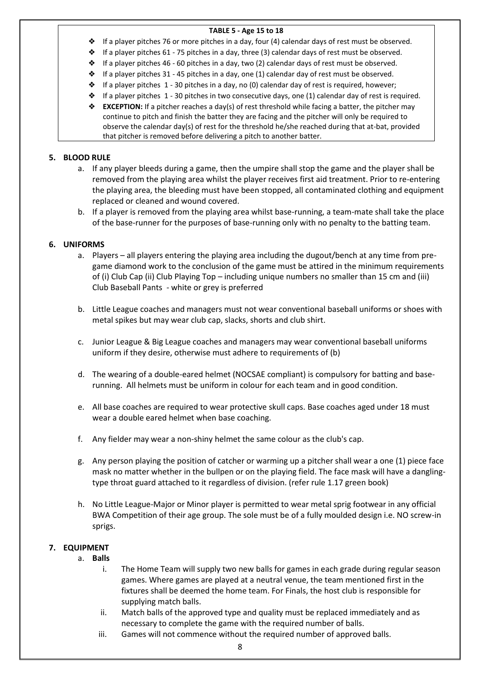#### **TABLE 5 - Age 15 to 18**

- ❖ If a player pitches 76 or more pitches in a day, four (4) calendar days of rest must be observed.
- ❖ If a player pitches 61 75 pitches in a day, three (3) calendar days of rest must be observed.
- ❖ If a player pitches 46 60 pitches in a day, two (2) calendar days of rest must be observed.
- ❖ If a player pitches 31 45 pitches in a day, one (1) calendar day of rest must be observed.
- $\triangle$  If a player pitches 1 30 pitches in a day, no (0) calendar day of rest is required, however;
- ❖ If a player pitches 1 30 pitches in two consecutive days, one (1) calendar day of rest is required.
- ❖ **EXCEPTION:** If a pitcher reaches a day(s) of rest threshold while facing a batter, the pitcher may continue to pitch and finish the batter they are facing and the pitcher will only be required to observe the calendar day(s) of rest for the threshold he/she reached during that at-bat, provided that pitcher is removed before delivering a pitch to another batter.

#### **5. BLOOD RULE**

- a. If any player bleeds during a game, then the umpire shall stop the game and the player shall be removed from the playing area whilst the player receives first aid treatment. Prior to re-entering the playing area, the bleeding must have been stopped, all contaminated clothing and equipment replaced or cleaned and wound covered.
- b. If a player is removed from the playing area whilst base-running, a team-mate shall take the place of the base-runner for the purposes of base-running only with no penalty to the batting team.

#### **6. UNIFORMS**

- a. Players all players entering the playing area including the dugout/bench at any time from pregame diamond work to the conclusion of the game must be attired in the minimum requirements of (i) Club Cap (ii) Club Playing Top – including unique numbers no smaller than 15 cm and (iii) Club Baseball Pants - white or grey is preferred
- b. Little League coaches and managers must not wear conventional baseball uniforms or shoes with metal spikes but may wear club cap, slacks, shorts and club shirt.
- c. Junior League & Big League coaches and managers may wear conventional baseball uniforms uniform if they desire, otherwise must adhere to requirements of (b)
- d. The wearing of a double-eared helmet (NOCSAE compliant) is compulsory for batting and baserunning. All helmets must be uniform in colour for each team and in good condition.
- e. All base coaches are required to wear protective skull caps. Base coaches aged under 18 must wear a double eared helmet when base coaching.
- f. Any fielder may wear a non-shiny helmet the same colour as the club's cap.
- g. Any person playing the position of catcher or warming up a pitcher shall wear a one (1) piece face mask no matter whether in the bullpen or on the playing field. The face mask will have a danglingtype throat guard attached to it regardless of division. (refer rule 1.17 green book)
- h. No Little League-Major or Minor player is permitted to wear metal sprig footwear in any official BWA Competition of their age group. The sole must be of a fully moulded design i.e. NO screw-in sprigs.

# **7. EQUIPMENT**

- a. **Balls**
	- i. The Home Team will supply two new balls for games in each grade during regular season games. Where games are played at a neutral venue, the team mentioned first in the fixtures shall be deemed the home team. For Finals, the host club is responsible for supplying match balls.
	- ii. Match balls of the approved type and quality must be replaced immediately and as necessary to complete the game with the required number of balls.
	- iii. Games will not commence without the required number of approved balls.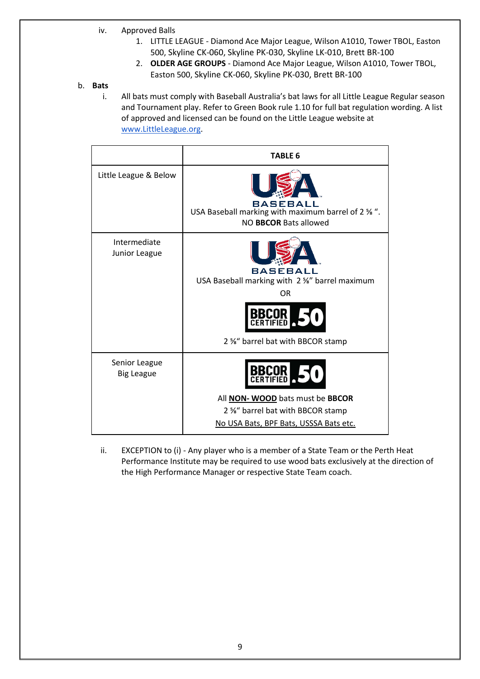- iv. Approved Balls
	- 1. LITTLE LEAGUE Diamond Ace Major League, Wilson A1010, Tower TBOL, Easton 500, Skyline CK-060, Skyline PK-030, Skyline LK-010, Brett BR-100
	- 2. **OLDER AGE GROUPS**  Diamond Ace Major League, Wilson A1010, Tower TBOL, Easton 500, Skyline CK-060, Skyline PK-030, Brett BR-100

#### b. **Bats**

i. All bats must comply with Baseball Australia's bat laws for all Little League Regular season and Tournament play. Refer to Green Book rule 1.10 for full bat regulation wording. A list of approved and licensed can be found on the Little League website at [www.LittleLeague.org.](about:blank)

|                                    | <b>TABLE 6</b>                                                                                                               |
|------------------------------------|------------------------------------------------------------------------------------------------------------------------------|
| Little League & Below              | BASEBALL<br>USA Baseball marking with maximum barrel of 2 % ".<br>NO <b>BBCOR</b> Bats allowed                               |
| Intermediate<br>Junior League      | BASEBALL<br>USA Baseball marking with 2 %" barrel maximum<br><b>OR</b><br><b>BBCOR</b><br>2 %" barrel bat with BBCOR stamp   |
| Senior League<br><b>Big League</b> | All <b>NON- WOOD</b> bats must be <b>BBCOR</b><br>2 %" barrel bat with BBCOR stamp<br>No USA Bats, BPF Bats, USSSA Bats etc. |

ii. EXCEPTION to (i) - Any player who is a member of a State Team or the Perth Heat Performance Institute may be required to use wood bats exclusively at the direction of the High Performance Manager or respective State Team coach.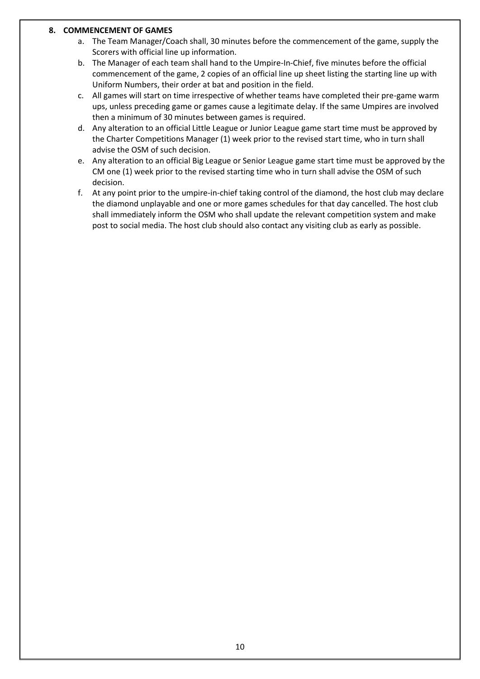#### **8. COMMENCEMENT OF GAMES**

- a. The Team Manager/Coach shall, 30 minutes before the commencement of the game, supply the Scorers with official line up information.
- b. The Manager of each team shall hand to the Umpire-In-Chief, five minutes before the official commencement of the game, 2 copies of an official line up sheet listing the starting line up with Uniform Numbers, their order at bat and position in the field.
- c. All games will start on time irrespective of whether teams have completed their pre-game warm ups, unless preceding game or games cause a legitimate delay. If the same Umpires are involved then a minimum of 30 minutes between games is required.
- d. Any alteration to an official Little League or Junior League game start time must be approved by the Charter Competitions Manager (1) week prior to the revised start time, who in turn shall advise the OSM of such decision.
- e. Any alteration to an official Big League or Senior League game start time must be approved by the CM one (1) week prior to the revised starting time who in turn shall advise the OSM of such decision.
- f. At any point prior to the umpire-in-chief taking control of the diamond, the host club may declare the diamond unplayable and one or more games schedules for that day cancelled. The host club shall immediately inform the OSM who shall update the relevant competition system and make post to social media. The host club should also contact any visiting club as early as possible.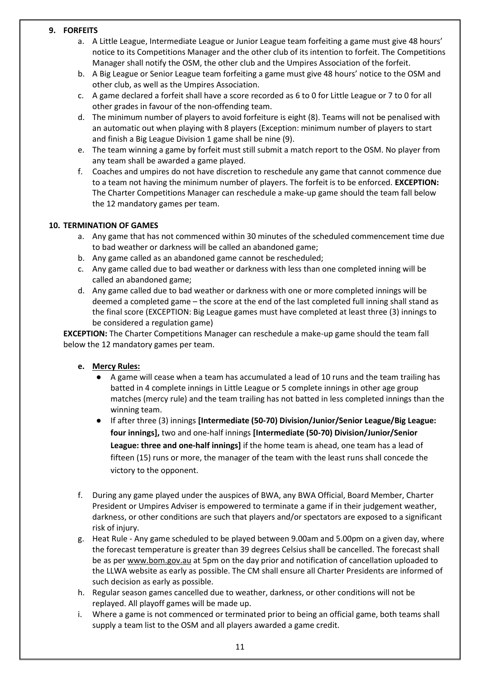#### **9. FORFEITS**

- a. A Little League, Intermediate League or Junior League team forfeiting a game must give 48 hours' notice to its Competitions Manager and the other club of its intention to forfeit. The Competitions Manager shall notify the OSM, the other club and the Umpires Association of the forfeit.
- b. A Big League or Senior League team forfeiting a game must give 48 hours' notice to the OSM and other club, as well as the Umpires Association.
- c. A game declared a forfeit shall have a score recorded as 6 to 0 for Little League or 7 to 0 for all other grades in favour of the non-offending team.
- d. The minimum number of players to avoid forfeiture is eight (8). Teams will not be penalised with an automatic out when playing with 8 players (Exception: minimum number of players to start and finish a Big League Division 1 game shall be nine (9).
- e. The team winning a game by forfeit must still submit a match report to the OSM. No player from any team shall be awarded a game played.
- f. Coaches and umpires do not have discretion to reschedule any game that cannot commence due to a team not having the minimum number of players. The forfeit is to be enforced. **EXCEPTION:** The Charter Competitions Manager can reschedule a make-up game should the team fall below the 12 mandatory games per team.

#### **10. TERMINATION OF GAMES**

- a. Any game that has not commenced within 30 minutes of the scheduled commencement time due to bad weather or darkness will be called an abandoned game;
- b. Any game called as an abandoned game cannot be rescheduled;
- c. Any game called due to bad weather or darkness with less than one completed inning will be called an abandoned game;
- d. Any game called due to bad weather or darkness with one or more completed innings will be deemed a completed game – the score at the end of the last completed full inning shall stand as the final score (EXCEPTION: Big League games must have completed at least three (3) innings to be considered a regulation game)

**EXCEPTION:** The Charter Competitions Manager can reschedule a make-up game should the team fall below the 12 mandatory games per team.

# **e. Mercy Rules:**

- A game will cease when a team has accumulated a lead of 10 runs and the team trailing has batted in 4 complete innings in Little League or 5 complete innings in other age group matches (mercy rule) and the team trailing has not batted in less completed innings than the winning team.
- If after three (3) innings **[Intermediate (50-70) Division/Junior/Senior League/Big League: four innings],** two and one-half innings **[Intermediate (50-70) Division/Junior/Senior League: three and one-half innings]** if the home team is ahead, one team has a lead of fifteen (15) runs or more, the manager of the team with the least runs shall concede the victory to the opponent.
- f. During any game played under the auspices of BWA, any BWA Official, Board Member, Charter President or Umpires Adviser is empowered to terminate a game if in their judgement weather, darkness, or other conditions are such that players and/or spectators are exposed to a significant risk of injury.
- g. Heat Rule Any game scheduled to be played between 9.00am and 5.00pm on a given day, where the forecast temperature is greater than 39 degrees Celsius shall be cancelled. The forecast shall be as per [www.bom.gov.au](about:blank) at 5pm on the day prior and notification of cancellation uploaded to the LLWA website as early as possible. The CM shall ensure all Charter Presidents are informed of such decision as early as possible.
- h. Regular season games cancelled due to weather, darkness, or other conditions will not be replayed. All playoff games will be made up.
- i. Where a game is not commenced or terminated prior to being an official game, both teams shall supply a team list to the OSM and all players awarded a game credit.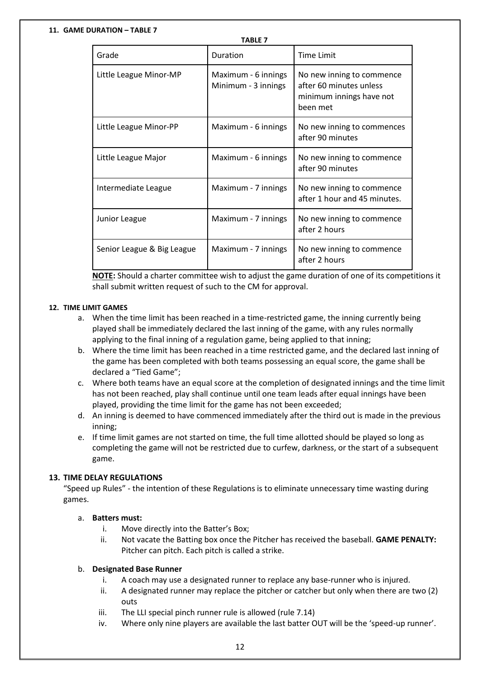#### **11. GAME DURATION – TABLE 7**

| <b>TABLE 7</b>             |                                            |                                                                                              |  |
|----------------------------|--------------------------------------------|----------------------------------------------------------------------------------------------|--|
| Grade                      | Duration                                   | <b>Time Limit</b>                                                                            |  |
| Little League Minor-MP     | Maximum - 6 innings<br>Minimum - 3 innings | No new inning to commence<br>after 60 minutes unless<br>minimum innings have not<br>been met |  |
| Little League Minor-PP     | Maximum - 6 innings                        | No new inning to commences<br>after 90 minutes                                               |  |
| Little League Major        | Maximum - 6 innings                        | No new inning to commence<br>after 90 minutes                                                |  |
| Intermediate League        | Maximum - 7 innings                        | No new inning to commence<br>after 1 hour and 45 minutes.                                    |  |
| Junior League              | Maximum - 7 innings                        | No new inning to commence<br>after 2 hours                                                   |  |
| Senior League & Big League | Maximum - 7 innings                        | No new inning to commence<br>after 2 hours                                                   |  |

**NOTE:** Should a charter committee wish to adjust the game duration of one of its competitions it shall submit written request of such to the CM for approval.

#### **12. TIME LIMIT GAMES**

- a. When the time limit has been reached in a time-restricted game, the inning currently being played shall be immediately declared the last inning of the game, with any rules normally applying to the final inning of a regulation game, being applied to that inning;
- b. Where the time limit has been reached in a time restricted game, and the declared last inning of the game has been completed with both teams possessing an equal score, the game shall be declared a "Tied Game";
- c. Where both teams have an equal score at the completion of designated innings and the time limit has not been reached, play shall continue until one team leads after equal innings have been played, providing the time limit for the game has not been exceeded;
- d. An inning is deemed to have commenced immediately after the third out is made in the previous inning;
- e. If time limit games are not started on time, the full time allotted should be played so long as completing the game will not be restricted due to curfew, darkness, or the start of a subsequent game.

#### **13. TIME DELAY REGULATIONS**

"Speed up Rules" - the intention of these Regulations is to eliminate unnecessary time wasting during games.

#### a. **Batters must:**

- i. Move directly into the Batter's Box;
- ii. Not vacate the Batting box once the Pitcher has received the baseball. **GAME PENALTY:**  Pitcher can pitch. Each pitch is called a strike.

#### b. **Designated Base Runner**

- i. A coach may use a designated runner to replace any base-runner who is injured.
- ii. A designated runner may replace the pitcher or catcher but only when there are two (2) outs
- iii. The LLI special pinch runner rule is allowed (rule 7.14)
- iv. Where only nine players are available the last batter OUT will be the 'speed-up runner'.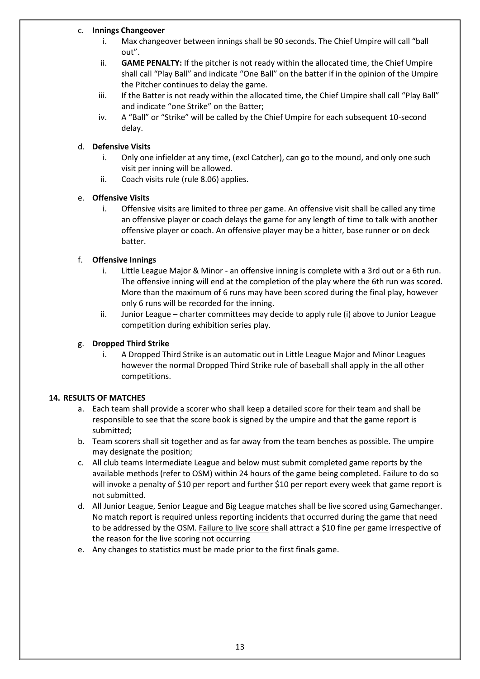#### c. **Innings Changeover**

- i. Max changeover between innings shall be 90 seconds. The Chief Umpire will call "ball out".
- ii. **GAME PENALTY:** If the pitcher is not ready within the allocated time, the Chief Umpire shall call "Play Ball" and indicate "One Ball" on the batter if in the opinion of the Umpire the Pitcher continues to delay the game.
- iii. If the Batter is not ready within the allocated time, the Chief Umpire shall call "Play Ball" and indicate "one Strike" on the Batter;
- iv. A "Ball" or "Strike" will be called by the Chief Umpire for each subsequent 10-second delay.

#### d. **Defensive Visits**

- i. Only one infielder at any time, (excl Catcher), can go to the mound, and only one such visit per inning will be allowed.
- ii. Coach visits rule (rule 8.06) applies.

#### e. **Offensive Visits**

i. Offensive visits are limited to three per game. An offensive visit shall be called any time an offensive player or coach delays the game for any length of time to talk with another offensive player or coach. An offensive player may be a hitter, base runner or on deck batter.

#### f. **Offensive Innings**

- i. Little League Major & Minor an offensive inning is complete with a 3rd out or a 6th run. The offensive inning will end at the completion of the play where the 6th run was scored. More than the maximum of 6 runs may have been scored during the final play, however only 6 runs will be recorded for the inning.
- ii. Junior League charter committees may decide to apply rule (i) above to Junior League competition during exhibition series play.

## g. **Dropped Third Strike**

i. A Dropped Third Strike is an automatic out in Little League Major and Minor Leagues however the normal Dropped Third Strike rule of baseball shall apply in the all other competitions.

#### **14. RESULTS OF MATCHES**

- a. Each team shall provide a scorer who shall keep a detailed score for their team and shall be responsible to see that the score book is signed by the umpire and that the game report is submitted;
- b. Team scorers shall sit together and as far away from the team benches as possible. The umpire may designate the position;
- c. All club teams Intermediate League and below must submit completed game reports by the available methods (refer to OSM) within 24 hours of the game being completed. Failure to do so will invoke a penalty of \$10 per report and further \$10 per report every week that game report is not submitted.
- d. All Junior League, Senior League and Big League matches shall be live scored using Gamechanger. No match report is required unless reporting incidents that occurred during the game that need to be addressed by the OSM. Failure to live score shall attract a \$10 fine per game irrespective of the reason for the live scoring not occurring
- e. Any changes to statistics must be made prior to the first finals game.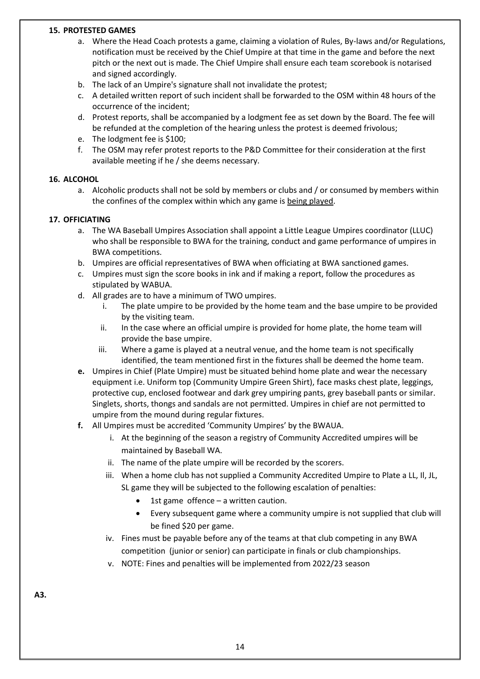#### **15. PROTESTED GAMES**

- a. Where the Head Coach protests a game, claiming a violation of Rules, By-laws and/or Regulations, notification must be received by the Chief Umpire at that time in the game and before the next pitch or the next out is made. The Chief Umpire shall ensure each team scorebook is notarised and signed accordingly.
- b. The lack of an Umpire's signature shall not invalidate the protest;
- c. A detailed written report of such incident shall be forwarded to the OSM within 48 hours of the occurrence of the incident;
- d. Protest reports, shall be accompanied by a lodgment fee as set down by the Board. The fee will be refunded at the completion of the hearing unless the protest is deemed frivolous;
- e. The lodgment fee is \$100;
- f. The OSM may refer protest reports to the P&D Committee for their consideration at the first available meeting if he / she deems necessary.

#### **16. ALCOHOL**

a. Alcoholic products shall not be sold by members or clubs and / or consumed by members within the confines of the complex within which any game is being played.

#### **17. OFFICIATING**

- a. The WA Baseball Umpires Association shall appoint a Little League Umpires coordinator (LLUC) who shall be responsible to BWA for the training, conduct and game performance of umpires in BWA competitions.
- b. Umpires are official representatives of BWA when officiating at BWA sanctioned games.
- c. Umpires must sign the score books in ink and if making a report, follow the procedures as stipulated by WABUA.
- d. All grades are to have a minimum of TWO umpires.
	- i. The plate umpire to be provided by the home team and the base umpire to be provided by the visiting team.
	- ii. In the case where an official umpire is provided for home plate, the home team will provide the base umpire.
	- iii. Where a game is played at a neutral venue, and the home team is not specifically identified, the team mentioned first in the fixtures shall be deemed the home team.
- **e.** Umpires in Chief (Plate Umpire) must be situated behind home plate and wear the necessary equipment i.e. Uniform top (Community Umpire Green Shirt), face masks chest plate, leggings, protective cup, enclosed footwear and dark grey umpiring pants, grey baseball pants or similar. Singlets, shorts, thongs and sandals are not permitted. Umpires in chief are not permitted to umpire from the mound during regular fixtures.
- **f.** All Umpires must be accredited 'Community Umpires' by the BWAUA.
	- i. At the beginning of the season a registry of Community Accredited umpires will be maintained by Baseball WA.
	- ii. The name of the plate umpire will be recorded by the scorers.
	- iii. When a home club has not supplied a Community Accredited Umpire to Plate a LL, Il, JL, SL game they will be subjected to the following escalation of penalties:
		- 1st game offence  $-$  a written caution.
		- Every subsequent game where a community umpire is not supplied that club will be fined \$20 per game.
	- iv. Fines must be payable before any of the teams at that club competing in any BWA competition (junior or senior) can participate in finals or club championships.
	- v. NOTE: Fines and penalties will be implemented from 2022/23 season

**A3.**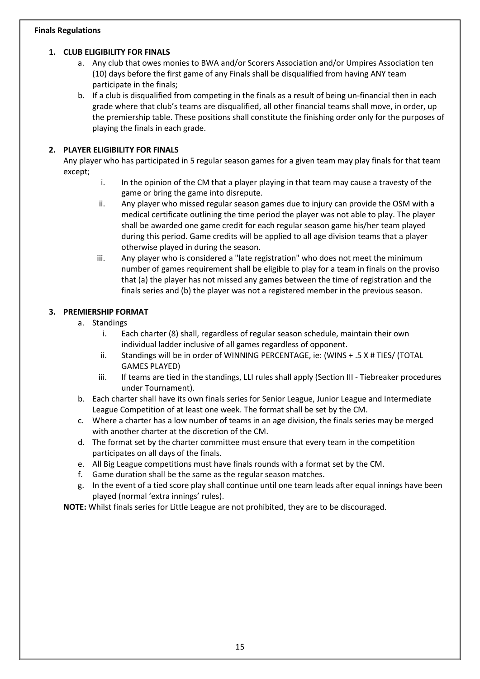#### **Finals Regulations**

#### **1. CLUB ELIGIBILITY FOR FINALS**

- a. Any club that owes monies to BWA and/or Scorers Association and/or Umpires Association ten (10) days before the first game of any Finals shall be disqualified from having ANY team participate in the finals;
- b. If a club is disqualified from competing in the finals as a result of being un-financial then in each grade where that club's teams are disqualified, all other financial teams shall move, in order, up the premiership table. These positions shall constitute the finishing order only for the purposes of playing the finals in each grade.

# **2. PLAYER ELIGIBILITY FOR FINALS**

Any player who has participated in 5 regular season games for a given team may play finals for that team except;

- i. In the opinion of the CM that a player playing in that team may cause a travesty of the game or bring the game into disrepute.
- ii. Any player who missed regular season games due to injury can provide the OSM with a medical certificate outlining the time period the player was not able to play. The player shall be awarded one game credit for each regular season game his/her team played during this period. Game credits will be applied to all age division teams that a player otherwise played in during the season.
- iii. Any player who is considered a "late registration" who does not meet the minimum number of games requirement shall be eligible to play for a team in finals on the proviso that (a) the player has not missed any games between the time of registration and the finals series and (b) the player was not a registered member in the previous season.

# **3. PREMIERSHIP FORMAT**

- a. Standings
	- i. Each charter (8) shall, regardless of regular season schedule, maintain their own individual ladder inclusive of all games regardless of opponent.
	- ii. Standings will be in order of WINNING PERCENTAGE, ie: (WINS + .5 X # TIES/ (TOTAL GAMES PLAYED)
	- iii. If teams are tied in the standings, LLI rules shall apply (Section III Tiebreaker procedures under Tournament).
- b. Each charter shall have its own finals series for Senior League, Junior League and Intermediate League Competition of at least one week. The format shall be set by the CM.
- c. Where a charter has a low number of teams in an age division, the finals series may be merged with another charter at the discretion of the CM.
- d. The format set by the charter committee must ensure that every team in the competition participates on all days of the finals.
- e. All Big League competitions must have finals rounds with a format set by the CM.
- f. Game duration shall be the same as the regular season matches.
- g. In the event of a tied score play shall continue until one team leads after equal innings have been played (normal 'extra innings' rules).

**NOTE:** Whilst finals series for Little League are not prohibited, they are to be discouraged.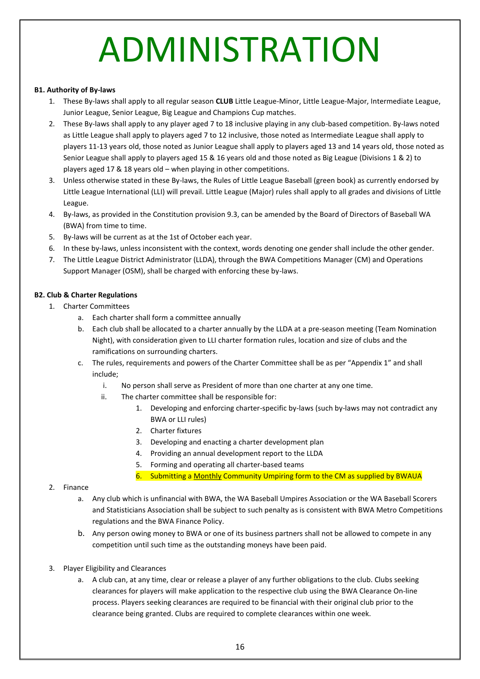# ADMINISTRATION

#### **B1. Authority of By-laws**

- 1. These By-laws shall apply to all regular season **CLUB** Little League-Minor, Little League-Major, Intermediate League, Junior League, Senior League, Big League and Champions Cup matches.
- 2. These By-laws shall apply to any player aged 7 to 18 inclusive playing in any club-based competition. By-laws noted as Little League shall apply to players aged 7 to 12 inclusive, those noted as Intermediate League shall apply to players 11-13 years old, those noted as Junior League shall apply to players aged 13 and 14 years old, those noted as Senior League shall apply to players aged 15 & 16 years old and those noted as Big League (Divisions 1 & 2) to players aged 17 & 18 years old – when playing in other competitions.
- 3. Unless otherwise stated in these By-laws, the Rules of Little League Baseball (green book) as currently endorsed by Little League International (LLI) will prevail. Little League (Major) rules shall apply to all grades and divisions of Little League.
- 4. By-laws, as provided in the Constitution provision 9.3, can be amended by the Board of Directors of Baseball WA (BWA) from time to time.
- 5. By-laws will be current as at the 1st of October each year.
- 6. In these by-laws, unless inconsistent with the context, words denoting one gender shall include the other gender.
- 7. The Little League District Administrator (LLDA), through the BWA Competitions Manager (CM) and Operations Support Manager (OSM), shall be charged with enforcing these by-laws.

#### **B2. Club & Charter Regulations**

- 1. Charter Committees
	- a. Each charter shall form a committee annually
	- b. Each club shall be allocated to a charter annually by the LLDA at a pre-season meeting (Team Nomination Night), with consideration given to LLI charter formation rules, location and size of clubs and the ramifications on surrounding charters.
	- c. The rules, requirements and powers of the Charter Committee shall be as per "Appendix 1" and shall include;
		- i. No person shall serve as President of more than one charter at any one time.
		- ii. The charter committee shall be responsible for:
			- 1. Developing and enforcing charter-specific by-laws (such by-laws may not contradict any BWA or LLI rules)
			- 2. Charter fixtures
			- 3. Developing and enacting a charter development plan
			- 4. Providing an annual development report to the LLDA
			- 5. Forming and operating all charter-based teams
			- 6. Submitting a Monthly Community Umpiring form to the CM as supplied by BWAUA

#### 2. Finance

- a. Any club which is unfinancial with BWA, the WA Baseball Umpires Association or the WA Baseball Scorers and Statisticians Association shall be subject to such penalty as is consistent with BWA Metro Competitions regulations and the BWA Finance Policy.
- b. Any person owing money to BWA or one of its business partners shall not be allowed to compete in any competition until such time as the outstanding moneys have been paid.
- 3. Player Eligibility and Clearances
	- a. A club can, at any time, clear or release a player of any further obligations to the club. Clubs seeking clearances for players will make application to the respective club using the BWA Clearance On-line process. Players seeking clearances are required to be financial with their original club prior to the clearance being granted. Clubs are required to complete clearances within one week.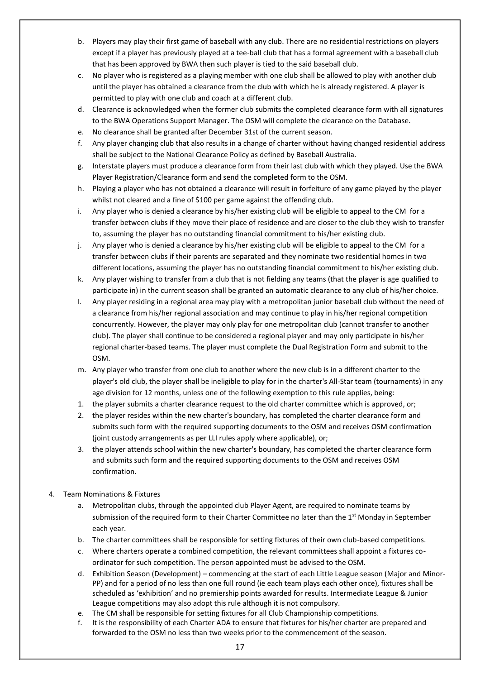- b. Players may play their first game of baseball with any club. There are no residential restrictions on players except if a player has previously played at a tee-ball club that has a formal agreement with a baseball club that has been approved by BWA then such player is tied to the said baseball club.
- c. No player who is registered as a playing member with one club shall be allowed to play with another club until the player has obtained a clearance from the club with which he is already registered. A player is permitted to play with one club and coach at a different club.
- d. Clearance is acknowledged when the former club submits the completed clearance form with all signatures to the BWA Operations Support Manager. The OSM will complete the clearance on the Database.
- e. No clearance shall be granted after December 31st of the current season.
- f. Any player changing club that also results in a change of charter without having changed residential address shall be subject to the National Clearance Policy as defined by Baseball Australia.
- g. Interstate players must produce a clearance form from their last club with which they played. Use the BWA Player Registration/Clearance form and send the completed form to the OSM.
- h. Playing a player who has not obtained a clearance will result in forfeiture of any game played by the player whilst not cleared and a fine of \$100 per game against the offending club.
- i. Any player who is denied a clearance by his/her existing club will be eligible to appeal to the CM for a transfer between clubs if they move their place of residence and are closer to the club they wish to transfer to, assuming the player has no outstanding financial commitment to his/her existing club.
- j. Any player who is denied a clearance by his/her existing club will be eligible to appeal to the CM for a transfer between clubs if their parents are separated and they nominate two residential homes in two different locations, assuming the player has no outstanding financial commitment to his/her existing club.
- k. Any player wishing to transfer from a club that is not fielding any teams (that the player is age qualified to participate in) in the current season shall be granted an automatic clearance to any club of his/her choice.
- l. Any player residing in a regional area may play with a metropolitan junior baseball club without the need of a clearance from his/her regional association and may continue to play in his/her regional competition concurrently. However, the player may only play for one metropolitan club (cannot transfer to another club). The player shall continue to be considered a regional player and may only participate in his/her regional charter-based teams. The player must complete the Dual Registration Form and submit to the OSM.
- m. Any player who transfer from one club to another where the new club is in a different charter to the player's old club, the player shall be ineligible to play for in the charter's All-Star team (tournaments) in any age division for 12 months, unless one of the following exemption to this rule applies, being:
- 1. the player submits a charter clearance request to the old charter committee which is approved, or;
- 2. the player resides within the new charter's boundary, has completed the charter clearance form and submits such form with the required supporting documents to the OSM and receives OSM confirmation (joint custody arrangements as per LLI rules apply where applicable), or;
- 3. the player attends school within the new charter's boundary, has completed the charter clearance form and submits such form and the required supporting documents to the OSM and receives OSM confirmation.

#### 4. Team Nominations & Fixtures

- a. Metropolitan clubs, through the appointed club Player Agent, are required to nominate teams by submission of the required form to their Charter Committee no later than the 1<sup>st</sup> Monday in September each year.
- b. The charter committees shall be responsible for setting fixtures of their own club-based competitions.
- c. Where charters operate a combined competition, the relevant committees shall appoint a fixtures coordinator for such competition. The person appointed must be advised to the OSM.
- d. Exhibition Season (Development) commencing at the start of each Little League season (Major and Minor-PP) and for a period of no less than one full round (ie each team plays each other once), fixtures shall be scheduled as 'exhibition' and no premiership points awarded for results. Intermediate League & Junior League competitions may also adopt this rule although it is not compulsory.
- e. The CM shall be responsible for setting fixtures for all Club Championship competitions.
- f. It is the responsibility of each Charter ADA to ensure that fixtures for his/her charter are prepared and forwarded to the OSM no less than two weeks prior to the commencement of the season.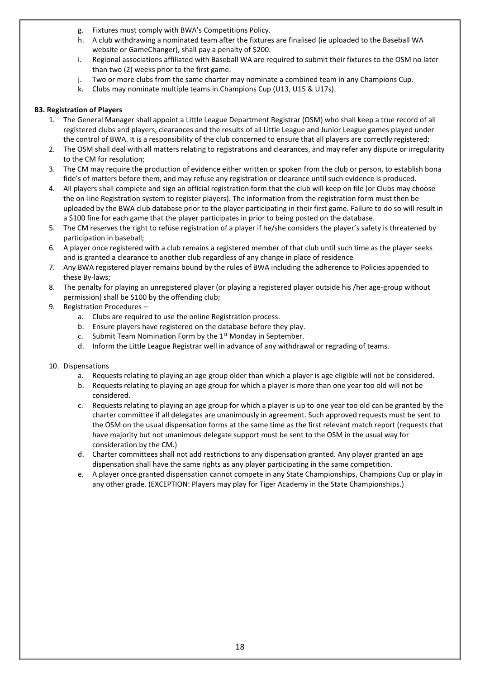- g. Fixtures must comply with BWA's Competitions Policy.
- h. A club withdrawing a nominated team after the fixtures are finalised (ie uploaded to the Baseball WA website or GameChanger), shall pay a penalty of \$200.
- i. Regional associations affiliated with Baseball WA are required to submit their fixtures to the OSM no later than two (2) weeks prior to the first game.
- j. Two or more clubs from the same charter may nominate a combined team in any Champions Cup.
- k. Clubs may nominate multiple teams in Champions Cup (U13, U15 & U17s).

#### **B3. Registration of Players**

- 1. The General Manager shall appoint a Little League Department Registrar (OSM) who shall keep a true record of all registered clubs and players, clearances and the results of all Little League and Junior League games played under the control of BWA. It is a responsibility of the club concerned to ensure that all players are correctly registered;
- 2. The OSM shall deal with all matters relating to registrations and clearances, and may refer any dispute or irregularity to the CM for resolution;
- 3. The CM may require the production of evidence either written or spoken from the club or person, to establish bona fide's of matters before them, and may refuse any registration or clearance until such evidence is produced.
- 4. All players shall complete and sign an official registration form that the club will keep on file (or Clubs may choose the on-line Registration system to register players). The information from the registration form must then be uploaded by the BWA club database prior to the player participating in their first game. Failure to do so will result in a \$100 fine for each game that the player participates in prior to being posted on the database.
- 5. The CM reserves the right to refuse registration of a player if he/she considers the player's safety is threatened by participation in baseball;
- 6. A player once registered with a club remains a registered member of that club until such time as the player seeks and is granted a clearance to another club regardless of any change in place of residence
- 7. Any BWA registered player remains bound by the rules of BWA including the adherence to Policies appended to these By-laws;
- 8. The penalty for playing an unregistered player (or playing a registered player outside his /her age-group without permission) shall be \$100 by the offending club;
- 9. Registration Procedures
	- a. Clubs are required t[o use the online](about:blank) [Registration proces](about:blank)s.
	- b. Ensure players have registered on the database before they play.
	- c. Submit Team Nomination Form by the  $1<sup>st</sup>$  Monday in September.
	- d. Inform the Little League Registrar well in advance of any withdrawal or regrading of teams.
- 10. Dispensations
	- a. Requests relating to playing an age group older than which a player is age eligible will not be considered.
	- b. Requests relating to playing an age group for which a player is more than one year too old will not be considered.
	- c. Requests relating to playing an age group for which a player is up to one year too old can be granted by the charter committee if all delegates are unanimously in agreement. Such approved requests must be sent to the OSM on the usual dispensation forms at the same time as the first relevant match report (requests that have majority but not unanimous delegate support must be sent to the OSM in the usual way for consideration by the CM.)
	- d. Charter committees shall not add restrictions to any dispensation granted. Any player granted an age dispensation shall have the same rights as any player participating in the same competition.
	- e. A player once granted dispensation cannot compete in any State Championships, Champions Cup or play in any other grade. (EXCEPTION: Players may play for Tiger Academy in the State Championships.)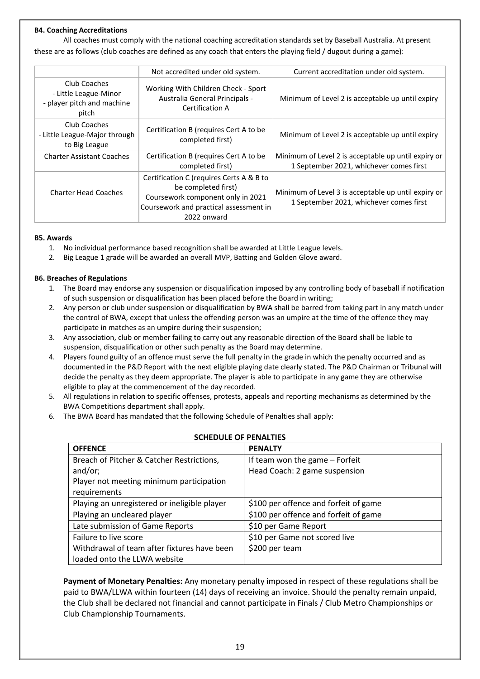#### **B4. Coaching Accreditations**

All coaches must comply with the national coaching accreditation standards set by Baseball Australia. At present these are as follows (club coaches are defined as any coach that enters the playing field / dugout during a game):

|                                                                              | Not accredited under old system.                                                                                                                              | Current accreditation under old system.                                                        |
|------------------------------------------------------------------------------|---------------------------------------------------------------------------------------------------------------------------------------------------------------|------------------------------------------------------------------------------------------------|
| Club Coaches<br>- Little League-Minor<br>- player pitch and machine<br>pitch | Working With Children Check - Sport<br>Australia General Principals -<br>Certification A                                                                      | Minimum of Level 2 is acceptable up until expiry                                               |
| Club Coaches<br>- Little League-Major through<br>to Big League               | Certification B (requires Cert A to be<br>completed first)                                                                                                    | Minimum of Level 2 is acceptable up until expiry                                               |
| <b>Charter Assistant Coaches</b>                                             | Certification B (requires Cert A to be<br>completed first)                                                                                                    | Minimum of Level 2 is acceptable up until expiry or<br>1 September 2021, whichever comes first |
| <b>Charter Head Coaches</b>                                                  | Certification C (requires Certs A & B to<br>be completed first)<br>Coursework component only in 2021<br>Coursework and practical assessment in<br>2022 onward | Minimum of Level 3 is acceptable up until expiry or<br>1 September 2021, whichever comes first |

#### **B5. Awards**

- 1. No individual performance based recognition shall be awarded at Little League levels.
- 2. Big League 1 grade will be awarded an overall MVP, Batting and Golden Glove award.

#### **B6. Breaches of Regulations**

- 1. The Board may endorse any suspension or disqualification imposed by any controlling body of baseball if notification of such suspension or disqualification has been placed before the Board in writing;
- 2. Any person or club under suspension or disqualification by BWA shall be barred from taking part in any match under the control of BWA, except that unless the offending person was an umpire at the time of the offence they may participate in matches as an umpire during their suspension;
- 3. Any association, club or member failing to carry out any reasonable direction of the Board shall be liable to suspension, disqualification or other such penalty as the Board may determine.
- 4. Players found guilty of an offence must serve the full penalty in the grade in which the penalty occurred and as documented in the P&D Report with the next eligible playing date clearly stated. The P&D Chairman or Tribunal will decide the penalty as they deem appropriate. The player is able to participate in any game they are otherwise eligible to play at the commencement of the day recorded.
- 5. All regulations in relation to specific offenses, protests, appeals and reporting mechanisms as determined by the BWA Competitions department shall apply.
- 6. The BWA Board has mandated that the following Schedule of Penalties shall apply:

#### **SCHEDULE OF PENALTIES**

| <b>OFFENCE</b>                               | <b>PENALTY</b>                        |
|----------------------------------------------|---------------------------------------|
| Breach of Pitcher & Catcher Restrictions,    | If team won the game - Forfeit        |
| and/or;                                      | Head Coach: 2 game suspension         |
| Player not meeting minimum participation     |                                       |
| requirements                                 |                                       |
| Playing an unregistered or ineligible player | \$100 per offence and forfeit of game |
| Playing an uncleared player                  | \$100 per offence and forfeit of game |
| Late submission of Game Reports              | \$10 per Game Report                  |
| Failure to live score                        | \$10 per Game not scored live         |
| Withdrawal of team after fixtures have been  | \$200 per team                        |
| loaded onto the LLWA website                 |                                       |

**Payment of Monetary Penalties:** Any monetary penalty imposed in respect of these regulations shall be paid to BWA/LLWA within fourteen (14) days of receiving an invoice. Should the penalty remain unpaid, the Club shall be declared not financial and cannot participate in Finals / Club Metro Championships or Club Championship Tournaments.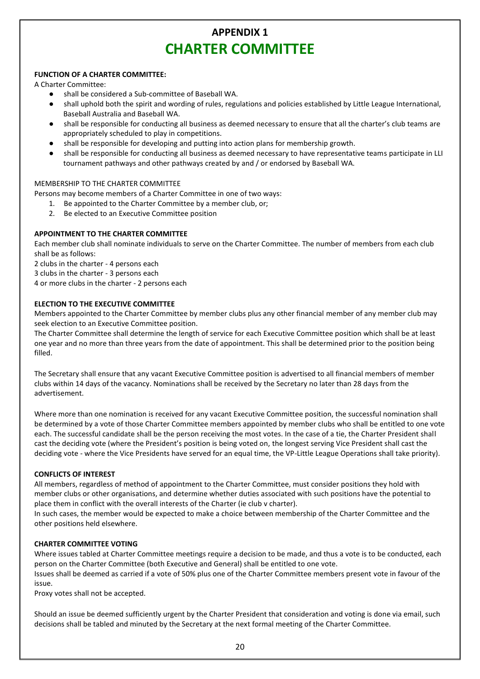# **APPENDIX 1 CHARTER COMMITTEE**

#### **FUNCTION OF A CHARTER COMMITTEE:**

A Charter Committee:

- shall be considered a Sub-committee of Baseball WA.
- shall uphold both the spirit and wording of rules, regulations and policies established by Little League International, Baseball Australia and Baseball WA.
- shall be responsible for conducting all business as deemed necessary to ensure that all the charter's club teams are appropriately scheduled to play in competitions.
- shall be responsible for developing and putting into action plans for membership growth.
- shall be responsible for conducting all business as deemed necessary to have representative teams participate in LLI tournament pathways and other pathways created by and / or endorsed by Baseball WA.

#### MEMBERSHIP TO THE CHARTER COMMITTEE

Persons may become members of a Charter Committee in one of two ways:

- 1. Be appointed to the Charter Committee by a member club, or;
- 2. Be elected to an Executive Committee position

#### **APPOINTMENT TO THE CHARTER COMMITTEE**

Each member club shall nominate individuals to serve on the Charter Committee. The number of members from each club shall be as follows:

2 clubs in the charter - 4 persons each

3 clubs in the charter - 3 persons each

4 or more clubs in the charter - 2 persons each

#### **ELECTION TO THE EXECUTIVE COMMITTEE**

Members appointed to the Charter Committee by member clubs plus any other financial member of any member club may seek election to an Executive Committee position.

The Charter Committee shall determine the length of service for each Executive Committee position which shall be at least one year and no more than three years from the date of appointment. This shall be determined prior to the position being filled.

The Secretary shall ensure that any vacant Executive Committee position is advertised to all financial members of member clubs within 14 days of the vacancy. Nominations shall be received by the Secretary no later than 28 days from the advertisement.

Where more than one nomination is received for any vacant Executive Committee position, the successful nomination shall be determined by a vote of those Charter Committee members appointed by member clubs who shall be entitled to one vote each. The successful candidate shall be the person receiving the most votes. In the case of a tie, the Charter President shall cast the deciding vote (where the President's position is being voted on, the longest serving Vice President shall cast the deciding vote - where the Vice Presidents have served for an equal time, the VP-Little League Operations shall take priority).

#### **CONFLICTS OF INTEREST**

All members, regardless of method of appointment to the Charter Committee, must consider positions they hold with member clubs or other organisations, and determine whether duties associated with such positions have the potential to place them in conflict with the overall interests of the Charter (ie club v charter).

In such cases, the member would be expected to make a choice between membership of the Charter Committee and the other positions held elsewhere.

#### **CHARTER COMMITTEE VOTING**

Where issues tabled at Charter Committee meetings require a decision to be made, and thus a vote is to be conducted, each person on the Charter Committee (both Executive and General) shall be entitled to one vote. Issues shall be deemed as carried if a vote of 50% plus one of the Charter Committee members present vote in favour of the issue.

Proxy votes shall not be accepted.

Should an issue be deemed sufficiently urgent by the Charter President that consideration and voting is done via email, such decisions shall be tabled and minuted by the Secretary at the next formal meeting of the Charter Committee.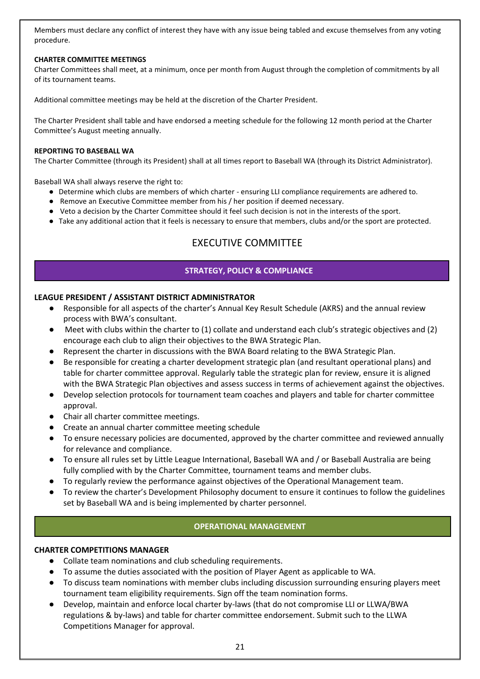Members must declare any conflict of interest they have with any issue being tabled and excuse themselves from any voting procedure.

#### **CHARTER COMMITTEE MEETINGS**

Charter Committees shall meet, at a minimum, once per month from August through the completion of commitments by all of its tournament teams.

Additional committee meetings may be held at the discretion of the Charter President.

The Charter President shall table and have endorsed a meeting schedule for the following 12 month period at the Charter Committee's August meeting annually.

#### **REPORTING TO BASEBALL WA**

The Charter Committee (through its President) shall at all times report to Baseball WA (through its District Administrator).

Baseball WA shall always reserve the right to:

- Determine which clubs are members of which charter ensuring LLI compliance requirements are adhered to.
- Remove an Executive Committee member from his / her position if deemed necessary.
- Veto a decision by the Charter Committee should it feel such decision is not in the interests of the sport.
- Take any additional action that it feels is necessary to ensure that members, clubs and/or the sport are protected.

# EXECUTIVE COMMITTEE

#### **STRATEGY, POLICY & COMPLIANCE**

#### **LEAGUE PRESIDENT / ASSISTANT DISTRICT ADMINISTRATOR**

- Responsible for all aspects of the charter's Annual Key Result Schedule (AKRS) and the annual review process with BWA's consultant.
- Meet with clubs within the charter to (1) collate and understand each club's strategic objectives and (2) encourage each club to align their objectives to the BWA Strategic Plan.
- Represent the charter in discussions with the BWA Board relating to the BWA Strategic Plan.
- Be responsible for creating a charter development strategic plan (and resultant operational plans) and table for charter committee approval. Regularly table the strategic plan for review, ensure it is aligned with the BWA Strategic Plan objectives and assess success in terms of achievement against the objectives.
- Develop selection protocols for tournament team coaches and players and table for charter committee approval.
- Chair all charter committee meetings.
- Create an annual charter committee meeting schedule
- To ensure necessary policies are documented, approved by the charter committee and reviewed annually for relevance and compliance.
- To ensure all rules set by Little League International, Baseball WA and / or Baseball Australia are being fully complied with by the Charter Committee, tournament teams and member clubs.
- To regularly review the performance against objectives of the Operational Management team.
- To review the charter's Development Philosophy document to ensure it continues to follow the guidelines set by Baseball WA and is being implemented by charter personnel.

#### **OPERATIONAL MANAGEMENT**

#### **CHARTER COMPETITIONS MANAGER**

- Collate team nominations and club scheduling requirements.
- To assume the duties associated with the position of Player Agent as applicable to WA.
- To discuss team nominations with member clubs including discussion surrounding ensuring players meet tournament team eligibility requirements. Sign off the team nomination forms.
- Develop, maintain and enforce local charter by-laws (that do not compromise LLI or LLWA/BWA regulations & by-laws) and table for charter committee endorsement. Submit such to the LLWA Competitions Manager for approval.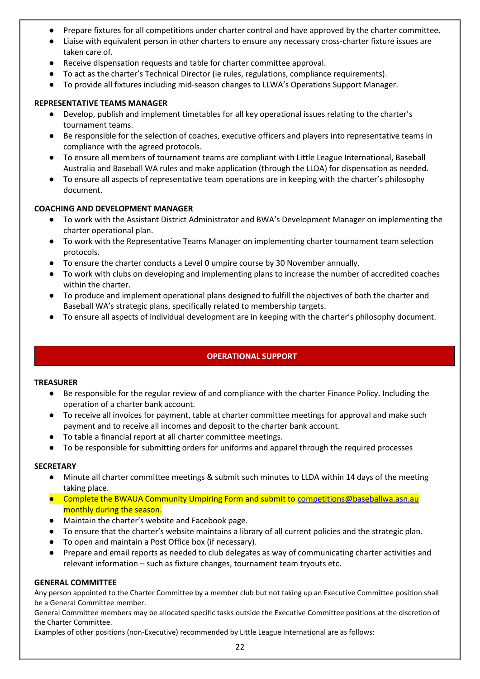- Prepare fixtures for all competitions under charter control and have approved by the charter committee.
- Liaise with equivalent person in other charters to ensure any necessary cross-charter fixture issues are taken care of.
- Receive dispensation requests and table for charter committee approval.
- To act as the charter's Technical Director (ie rules, regulations, compliance requirements).
- To provide all fixtures including mid-season changes to LLWA's Operations Support Manager.

#### **REPRESENTATIVE TEAMS MANAGER**

- Develop, publish and implement timetables for all key operational issues relating to the charter's tournament teams.
- Be responsible for the selection of coaches, executive officers and players into representative teams in compliance with the agreed protocols.
- To ensure all members of tournament teams are compliant with Little League International, Baseball Australia and Baseball WA rules and make application (through the LLDA) for dispensation as needed.
- To ensure all aspects of representative team operations are in keeping with the charter's philosophy document.

#### **COACHING AND DEVELOPMENT MANAGER**

- To work with the Assistant District Administrator and BWA's Development Manager on implementing the charter operational plan.
- To work with the Representative Teams Manager on implementing charter tournament team selection protocols.
- To ensure the charter conducts a Level 0 umpire course by 30 November annually.
- To work with clubs on developing and implementing plans to increase the number of accredited coaches within the charter.
- To produce and implement operational plans designed to fulfill the objectives of both the charter and Baseball WA's strategic plans, specifically related to membership targets.
- To ensure all aspects of individual development are in keeping with the charter's philosophy document.

# **OPERATIONAL SUPPORT**

#### **TREASURER**

- Be responsible for the regular review of and compliance with the charter Finance Policy. Including the operation of a charter bank account.
- To receive all invoices for payment, table at charter committee meetings for approval and make such payment and to receive all incomes and deposit to the charter bank account.
- To table a financial report at all charter committee meetings.
- To be responsible for submitting orders for uniforms and apparel through the required processes

#### **SECRETARY**

- Minute all charter committee meetings & submit such minutes to LLDA within 14 days of the meeting taking place.
- Complete the BWAUA Community Umpiring Form and submit to [competitions@baseballwa.asn.au](mailto:competitions@baseballwa.asn.au) monthly during the season.
- Maintain the charter's website and Facebook page.
- To ensure that the charter's website maintains a library of all current policies and the strategic plan.
- To open and maintain a Post Office box (if necessary).
- Prepare and email reports as needed to club delegates as way of communicating charter activities and relevant information – such as fixture changes, tournament team tryouts etc.

#### **GENERAL COMMITTEE**

Any person appointed to the Charter Committee by a member club but not taking up an Executive Committee position shall be a General Committee member.

General Committee members may be allocated specific tasks outside the Executive Committee positions at the discretion of the Charter Committee.

Examples of other positions (non-Executive) recommended by Little League International are as follows: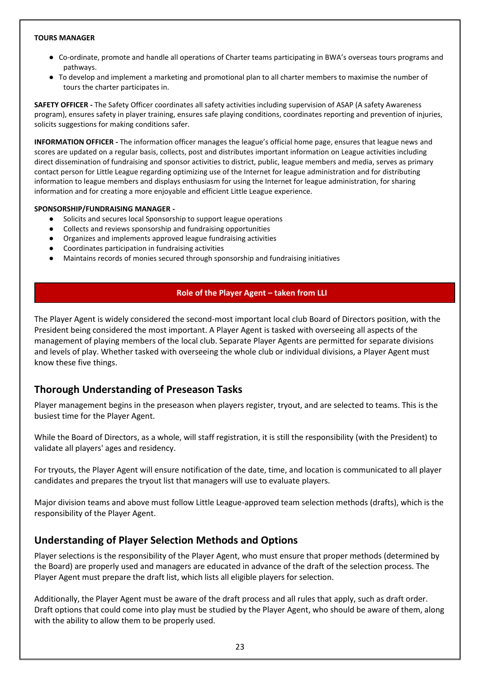#### **TOURS MANAGER**

- Co-ordinate, promote and handle all operations of Charter teams participating in BWA's overseas tours programs and pathways.
- To develop and implement a marketing and promotional plan to all charter members to maximise the number of tours the charter participates in.

**SAFETY OFFICER -** The Safety Officer coordinates all safety activities including supervision of ASAP (A safety Awareness program), ensures safety in player training, ensures safe playing conditions, coordinates reporting and prevention of injuries, solicits suggestions for making conditions safer.

**INFORMATION OFFICER -** The information officer manages the league's official home page, ensures that league news and scores are updated on a regular basis, collects, post and distributes important information on League activities including direct dissemination of fundraising and sponsor activities to district, public, league members and media, serves as primary contact person for Little League regarding optimizing use of the Internet for league administration and for distributing information to league members and displays enthusiasm for using the Internet for league administration, for sharing information and for creating a more enjoyable and efficient Little League experience.

#### **SPONSORSHIP/FUNDRAISING MANAGER -**

- Solicits and secures local Sponsorship to support league operations
- Collects and reviews sponsorship and fundraising opportunities
- Organizes and implements approved league fundraising activities
- Coordinates participation in fundraising activities
- Maintains records of monies secured through sponsorship and fundraising initiatives

#### **Role of the Player Agent – taken from LLI**

The Player Agent is widely considered the second-most important local club Board of Directors position, with the President being considered the most important. A Player Agent is tasked with overseeing all aspects of the management of playing members of the local club. Separate Player Agents are permitted for separate divisions and levels of play. Whether tasked with overseeing the whole club or individual divisions, a Player Agent must know these five things.

# **Thorough Understanding of Preseason Tasks**

Player management begins in the preseason when players register, tryout, and are selected to teams. This is the busiest time for the Player Agent.

While the Board of Directors, as a whole, will staff registration, it is still the responsibility (with the President) to validate all players' ages and residency.

For tryouts, the Player Agent will ensure notification of the date, time, and location is communicated to all player candidates and prepares the tryout list that managers will use to evaluate players.

Major division teams and above must follow Little League-approved team selection methods (drafts), which is the responsibility of the Player Agent.

# **Understanding of Player Selection Methods and Options**

Player selections is the responsibility of the Player Agent, who must ensure that proper methods (determined by the Board) are properly used and managers are educated in advance of the draft of the selection process. The Player Agent must prepare the draft list, which lists all eligible players for selection.

Additionally, the Player Agent must be aware of the draft process and all rules that apply, such as draft order. Draft options that could come into play must be studied by the Player Agent, who should be aware of them, along with the ability to allow them to be properly used.